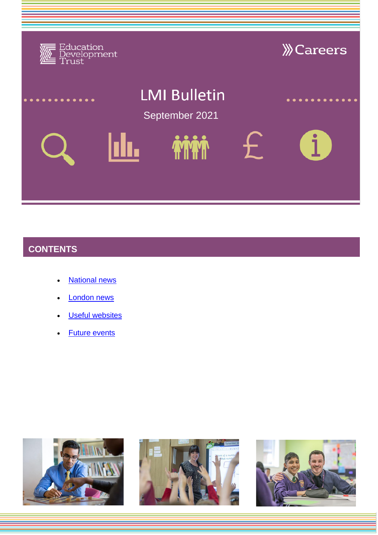

# **CONTENTS**

- [National news](#page-1-0)
- [London news](#page-4-0)
- **[Useful websites](#page-5-0)**
- [Future events](#page-6-0)





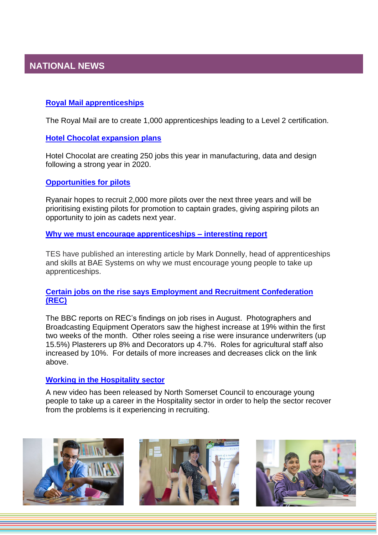# <span id="page-1-0"></span>**NATIONAL NEWS**

#### **[Royal Mail apprenticeships](https://www.dorsetecho.co.uk/news/national/uk-today/19393518.royal-mail-offer-1-000-uk-apprenticeships---apply/)**

The Royal Mail are to create 1,000 apprenticeships leading to a Level 2 certification.

#### **[Hotel Chocolat](https://www.dorsetecho.co.uk/news/national/19438336.hotel-chocolat-create-250-jobs-online-sales-soar/) [expansion plans](https://www.dorsetecho.co.uk/news/national/19438336.hotel-chocolat-create-250-jobs-online-sales-soar/)**

Hotel Chocolat are creating 250 jobs this year in manufacturing, data and design following a strong year in 2020.

#### **[Opportunities for pilots](https://www.theguardian.com/business/2021/jul/12/ryanair-to-recruit-2000-pilots-over-next-three-years-after-planes-order)**

Ryanair hopes to recruit 2,000 more pilots over the next three years and will be prioritising existing pilots for promotion to captain grades, giving aspiring pilots an opportunity to join as cadets next year.

#### **[Why we must encourage apprenticeships –](https://www.tes.com/news/why-we-must-encourage-students-apprenticeships) interesting report**

TES have published an interesting article by Mark Donnelly, head of apprenticeships and skills at BAE Systems on why we must encourage young people to take up apprenticeships.

#### **[Certain jobs on the rise says Employment and Recruitment Confederation](https://www.bbc.co.uk/news/business-58180312)  [\(REC\)](https://www.bbc.co.uk/news/business-58180312)**

The BBC reports on REC's findings on job rises in August. Photographers and Broadcasting Equipment Operators saw the highest increase at 19% within the first two weeks of the month. Other roles seeing a rise were insurance underwriters (up 15.5%) Plasterers up 8% and Decorators up 4.7%. Roles for agricultural staff also increased by 10%. For details of more increases and decreases click on the link above.

#### **[Working in the Hospitality sector](https://www.youtube.com/watch?v=cveiOkvTx6M)**

A new video has been released by North Somerset Council to encourage young people to take up a career in the Hospitality sector in order to help the sector recover from the problems is it experiencing in recruiting.





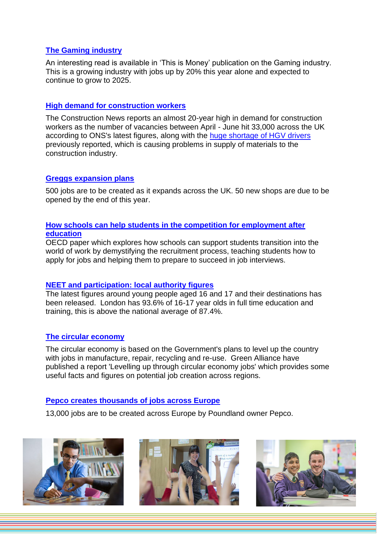#### **[The Gaming industry](https://www.thisismoney.co.uk/money/news/article-9010849/Jobs-gaming-20-year-increase-threefold-2025.html)**

An interesting read is available in 'This is Money' publication on the Gaming industry. This is a growing industry with jobs up by 20% this year alone and expected to continue to grow to 2025.

#### **[High demand for construction workers](https://www.constructionnews.co.uk/supply-chain/demand-for-construction-workers-nears-20-year-high-16-07-2021/)**

The Construction News reports an almost 20-year high in demand for construction workers as the number of vacancies between April - June hit 33,000 across the UK according to ONS's latest figures, along with the [huge shortage of HGV drivers](https://www.constructionnews.co.uk/government/builders-merchants-hit-by-hgv-driver-shortage-14-07-2021/) previously reported, which is causing problems in supply of materials to the construction industry.

#### **[Greggs expansion plans](https://bdaily.co.uk/articles/2021/08/03/greggs-to-cook-up-500-new-jobs-as-sales-return-to-pre-pandemic-levels?utm_source=bulletin&utm_medium=email&utm_campaign=2021-08-03-north-east&utm_content=headline&utm_medium=email&utm_campaign=Bulletin%20for%20North%20East%202021-08-03%20080005&utm_content=Bulletin%20for%20North%20East%202021-08-03%20080005+CID_a844defab977d1d99ba6acf922fac59f&utm_source=CampaignMonitor&utm_term=Greggs%20to%20cook%20up%20500%20new%20jobs%20as%20sales%20return%20to%20pre-pandemic%20levels)**

500 jobs are to be created as it expands across the UK. 50 new shops are due to be opened by the end of this year.

#### **[How schools can help students in the competition for employment after](https://www.oecd-ilibrary.org/education/getting-a-job_9ac1ab37-en)  [education](https://www.oecd-ilibrary.org/education/getting-a-job_9ac1ab37-en)**

OECD paper which explores how schools can support students transition into the world of work by demystifying the recruitment process, teaching students how to apply for jobs and helping them to prepare to succeed in job interviews.

#### **[NEET and participation: local authority figures](https://www.gov.uk/government/publications/neet-and-participation-local-authority-figures)**

The latest figures around young people aged 16 and 17 and their destinations has been released. London has 93.6% of 16-17 year olds in full time education and training, this is above the national average of 87.4%.

#### **[The circular economy](https://green-alliance.org.uk/Levelling_up_through_circular_economy_jobs.php)**

The circular economy is based on the Government's plans to level up the country with jobs in manufacture, repair, recycling and re-use. Green Alliance have published a report 'Levelling up through circular economy jobs' which provides some useful facts and figures on potential job creation across regions.

#### **[Pepco creates thousands of jobs across Europe](https://www.retailgazette.co.uk/blog/2021/07/poundland-owner-pepco-to-create-13000-jobs-across-europe/)**

13,000 jobs are to be created across Europe by Poundland owner Pepco.





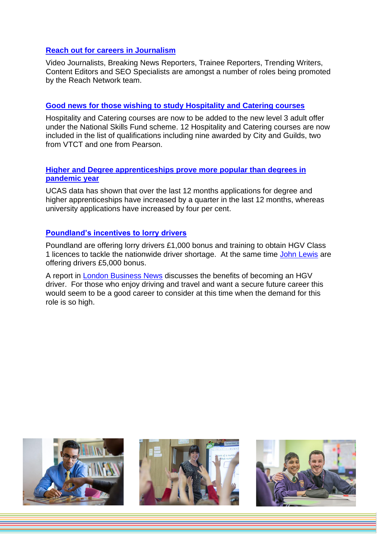#### **[Reach out for careers in Journalism](https://www.gloucestershirelive.co.uk/news/uk-world-news/reachs-network-team-recruiting-journalists-5681262)**

Video Journalists, Breaking News Reporters, Trainee Reporters, Trending Writers, Content Editors and SEO Specialists are amongst a number of roles being promoted by the Reach Network team.

#### **[Good news for those wishing to study Hospitality and Catering courses](https://feweek-co-uk.cdn.ampproject.org/c/s/feweek.co.uk/2021/07/29/hospitality-and-catering-courses-added-to-level-3-lifetime-skills-guarantee-offer/amp/)**

Hospitality and Catering courses are now to be added to the new level 3 adult offer under the National Skills Fund scheme. 12 Hospitality and Catering courses are now included in the list of qualifications including nine awarded by City and Guilds, two from VTCT and one from Pearson.

#### **[Higher and Degree apprenticeships prove more popular than degrees in](https://www.yorkshirepost.co.uk/education/increase-in-university-applications-outstripped-by-demand-for-degree-and-higher-level-apprenticeships-over-past-year-3341463)  [pandemic year](https://www.yorkshirepost.co.uk/education/increase-in-university-applications-outstripped-by-demand-for-degree-and-higher-level-apprenticeships-over-past-year-3341463)**

UCAS data has shown that over the last 12 months applications for degree and higher apprenticeships have increased by a quarter in the last 12 months, whereas university applications have increased by four per cent.

#### **[Poundland's incentives to lorry drivers](https://www.retailgazette.co.uk/blog/2021/08/poundland-offers-2000-bonus-scheme-licence-upgrade-for-lorry-drivers/)**

Poundland are offering lorry drivers £1,000 bonus and training to obtain HGV Class 1 licences to tackle the nationwide driver shortage. At the same time [John Lewis](https://www.retailgazette.co.uk/blog/2021/08/john-lewis-partnership-to-give-5k-pay-raise-to-lorry-drivers-amid-national-shortage/) are offering drivers £5,000 bonus.

A report in [London Business News](https://www.londonbusinessnews.com/become-an-hgv-driver/) discusses the benefits of becoming an HGV driver. For those who enjoy driving and travel and want a secure future career this would seem to be a good career to consider at this time when the demand for this role is so high.





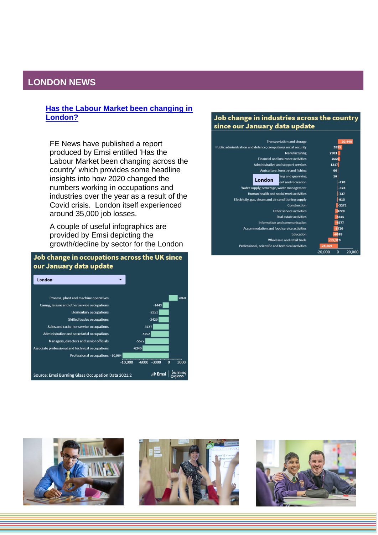### <span id="page-4-0"></span>**LONDON NEWS**

#### **[Has the Labour Market been changing in](https://www.fenews.co.uk/fevoices/74654-how-has-the-labour-market-been-changing-across-the-country)  [London?](https://www.fenews.co.uk/fevoices/74654-how-has-the-labour-market-been-changing-across-the-country)**

FE News have published a report produced by Emsi entitled 'Has the Labour Market been changing across the country' which provides some headline insights into how 2020 changed the numbers working in occupations and industries over the year as a result of the Covid crisis. London itself experienced around 35,000 job losses.

A couple of useful infographics are provided by Emsi depicting the growth/decline by sector for the London

#### Job change in occupations across the UK since our January data update



#### Job change in industries across the country since our January data update

| <b>Transportation and storage</b>                             | 20,448                             |
|---------------------------------------------------------------|------------------------------------|
| Public administration and defence; compulsory social security | 5595                               |
| Manufacturing                                                 | 2903                               |
| <b>Financial and insurance activities</b>                     | 2664                               |
| Administrative and support services                           | 1317                               |
| Agriculture, forestry and fishing                             | 66                                 |
| ning and quarrying                                            | 10                                 |
| London<br>ent and recreation                                  | $-270$                             |
| Water supply; sewerage, waste management                      | $-323$                             |
| Human health and social work activities                       | $-737$                             |
| Electricity, gas, steam and air conditioning supply           | $-913$                             |
| Construction                                                  | $-2272$                            |
| Other service activities                                      | 3720                               |
| <b>Real estate activities</b>                                 | 4325                               |
| Information and communication                                 | 4577                               |
| Accommodation and food service activities                     | 5720                               |
| <b>Education</b>                                              | $-6885$                            |
| Wholesale and retail trade                                    | $-13.319$                          |
| Professional, scientific and technical activities             | $-24,869$                          |
|                                                               | 20,000<br>$\mathbf 0$<br>$-20,000$ |





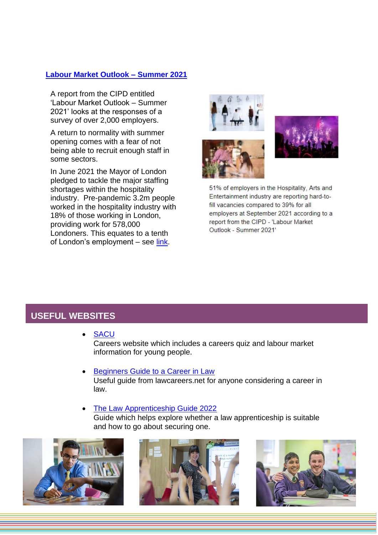### **[Labour Market Outlook –](https://www.cipd.co.uk/Images/labour-market-outlook-summer-2021_tcm18-99641.pdf) Summer 2021**

A report from the CIPD entitled 'Labour Market Outlook – Summer 2021' looks at the responses of a survey of over 2,000 employers.

A return to normality with summer opening comes with a fear of not being able to recruit enough staff in some sectors.

In June 2021 the Mayor of London pledged to tackle the major staffing shortages within the hospitality industry. Pre-pandemic 3.2m people worked in the hospitality industry with 18% of those working in London, providing work for 578,000 Londoners. This equates to a tenth of London's employment - see [link.](https://www.london.gov.uk/press-releases/mayoral/mayor-pledges-to-tackle-shortages-in-hospitality)





51% of employers in the Hospitality, Arts and Entertainment industry are reporting hard-tofill vacancies compared to 39% for all employers at September 2021 according to a report from the CIPD - 'Labour Market Outlook - Summer 2021'

## <span id="page-5-0"></span>**USEFUL WEBSITES**

• [SACU](https://sacu-student.com/?page_id=2760) Careers website which includes a careers quiz and labour market

information for young people.

- [Beginners Guide to a Career in Law](https://online.flippingbook.com/view/924064555/) Useful guide from lawcareers.net for anyone considering a career in law.
- [The Law Apprenticeship Guide 2022](https://online.flippingbook.com/view/129262654/) Guide which helps explore whether a law apprenticeship is suitable and how to go about securing one.